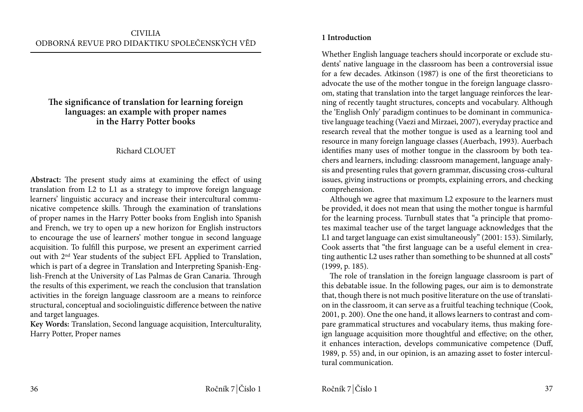### **The significance of translation for learning foreign languages: an example with proper names in the Harry Potter books**

# Richard CLOUET

**Abstract:** The present study aims at examining the effect of using translation from L2 to L1 as a strategy to improve foreign language learners' linguistic accuracy and increase their intercultural communicative competence skills. Through the examination of translations of proper names in the Harry Potter books from English into Spanish and French, we try to open up a new horizon for English instructors to encourage the use of learners' mother tongue in second language acquisition. To fulfill this purpose, we present an experiment carried out with 2nd Year students of the subject EFL Applied to Translation, which is part of a degree in Translation and Interpreting Spanish-English-French at the University of Las Palmas de Gran Canaria. Through the results of this experiment, we reach the conclusion that translation activities in the foreign language classroom are a means to reinforce structural, conceptual and sociolinguistic difference between the native and target languages.

**Key Words:** Translation, Second language acquisition, Interculturality, Harry Potter, Proper names

## **1 Introduction**

Whether English language teachers should incorporate or exclude students' native language in the classroom has been a controversial issue for a few decades. Atkinson (1987) is one of the first theoreticians to advocate the use of the mother tongue in the foreign language classroom, stating that translation into the target language reinforces the learning of recently taught structures, concepts and vocabulary. Although the 'English Only' paradigm continues to be dominant in communicative language teaching (Vaezi and Mirzaei, 2007), everyday practice and research reveal that the mother tongue is used as a learning tool and resource in many foreign language classes (Auerbach, 1993). Auerbach identifies many uses of mother tongue in the classroom by both teachers and learners, including: classroom management, language analysis and presenting rules that govern grammar, discussing cross-cultural issues, giving instructions or prompts, explaining errors, and checking comprehension.

Although we agree that maximum L2 exposure to the learners must be provided, it does not mean that using the mother tongue is harmful for the learning process. Turnbull states that "a principle that promotes maximal teacher use of the target language acknowledges that the L1 and target language can exist simultaneously" (2001: 153). Similarly, Cook asserts that "the first language can be a useful element in creating authentic L2 uses rather than something to be shunned at all costs" (1999, p. 185).

The role of translation in the foreign language classroom is part of this debatable issue. In the following pages, our aim is to demonstrate that, though there is not much positive literature on the use of translation in the classroom, it can serve as a fruitful teaching technique (Cook, 2001, p. 200). One the one hand, it allows learners to contrast and compare grammatical structures and vocabulary items, thus making foreign language acquisition more thoughtful and effective; on the other, it enhances interaction, develops communicative competence (Duff, 1989, p. 55) and, in our opinion, is an amazing asset to foster intercultural communication.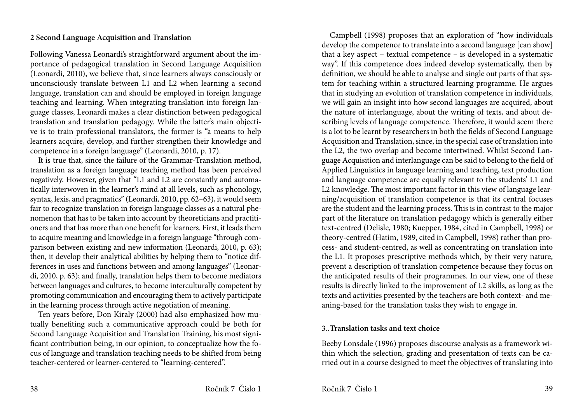#### **2 Second Language Acquisition and Translation**

Following Vanessa Leonardi's straightforward argument about the importance of pedagogical translation in Second Language Acquisition (Leonardi, 2010), we believe that, since learners always consciously or unconsciously translate between L1 and L2 when learning a second language, translation can and should be employed in foreign language teaching and learning. When integrating translation into foreign language classes, Leonardi makes a clear distinction between pedagogical translation and translation pedagogy. While the latter's main objective is to train professional translators, the former is "a means to help learners acquire, develop, and further strengthen their knowledge and competence in a foreign language" (Leonardi, 2010, p. 17).

It is true that, since the failure of the Grammar-Translation method, translation as a foreign language teaching method has been perceived negatively. However, given that "L1 and L2 are constantly and automatically interwoven in the learner's mind at all levels, such as phonology, syntax, lexis, and pragmatics" (Leonardi, 2010, pp. 62–63), it would seem fair to recognize translation in foreign language classes as a natural phenomenon that has to be taken into account by theoreticians and practitioners and that has more than one benefit for learners. First, it leads them to acquire meaning and knowledge in a foreign language "through comparison between existing and new information (Leonardi, 2010, p. 63); then, it develop their analytical abilities by helping them to "notice differences in uses and functions between and among languages" (Leonardi, 2010, p. 63); and finally, translation helps them to become mediators between languages and cultures, to become interculturally competent by promoting communication and encouraging them to actively participate in the learning process through active negotiation of meaning.

Ten years before, Don Kiraly (2000) had also emphasized how mutually benefiting such a communicative approach could be both for Second Language Acquisition and Translation Training, his most significant contribution being, in our opinion, to conceptualize how the focus of language and translation teaching needs to be shifted from being teacher-centered or learner-centered to "learning-centered".

Campbell (1998) proposes that an exploration of "how individuals develop the competence to translate into a second language [can show] that a key aspect – textual competence – is developed in a systematic way". If this competence does indeed develop systematically, then by definition, we should be able to analyse and single out parts of that system for teaching within a structured learning programme. He argues that in studying an evolution of translation competence in individuals, we will gain an insight into how second languages are acquired, about the nature of interlanguage, about the writing of texts, and about describing levels of language competence. Therefore, it would seem there is a lot to be learnt by researchers in both the fields of Second Language Acquisition and Translation, since, in the special case of translation into the L2, the two overlap and become intertwined. Whilst Second Language Acquisition and interlanguage can be said to belong to the field of Applied Linguistics in language learning and teaching, text production and language competence are equally relevant to the students' L1 and L2 knowledge. The most important factor in this view of language learning/acquisition of translation competence is that its central focuses are the student and the learning process. This is in contrast to the major part of the literature on translation pedagogy which is generally either text-centred (Delisle, 1980; Kuepper, 1984, cited in Campbell, 1998) or theory-centred (Hatim, 1989, cited in Campbell, 1998) rather than process- and student-centred, as well as concentrating on translation into the L1. It proposes prescriptive methods which, by their very nature, prevent a description of translation competence because they focus on the anticipated results of their programmes. In our view, one of these results is directly linked to the improvement of L2 skills, as long as the texts and activities presented by the teachers are both context- and meaning-based for the translation tasks they wish to engage in.

#### **3..Translation tasks and text choice**

Beeby Lonsdale (1996) proposes discourse analysis as a framework within which the selection, grading and presentation of texts can be carried out in a course designed to meet the objectives of translating into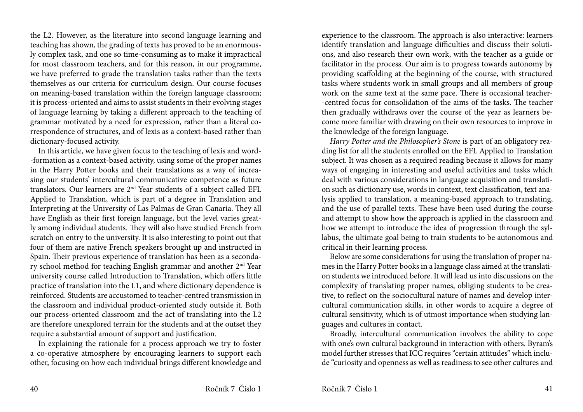the L2. However, as the literature into second language learning and teaching has shown, the grading of texts has proved to be an enormously complex task, and one so time-consuming as to make it impractical for most classroom teachers, and for this reason, in our programme, we have preferred to grade the translation tasks rather than the texts themselves as our criteria for curriculum design. Our course focuses on meaning-based translation within the foreign language classroom; it is process-oriented and aims to assist students in their evolving stages of language learning by taking a different approach to the teaching of grammar motivated by a need for expression, rather than a literal correspondence of structures, and of lexis as a context-based rather than dictionary-focused activity.

In this article, we have given focus to the teaching of lexis and word- -formation as a context-based activity, using some of the proper names in the Harry Potter books and their translations as a way of increasing our students' intercultural communicative competence as future translators. Our learners are 2nd Year students of a subject called EFL Applied to Translation, which is part of a degree in Translation and Interpreting at the University of Las Palmas de Gran Canaria. They all have English as their first foreign language, but the level varies greatly among individual students. They will also have studied French from scratch on entry to the university. It is also interesting to point out that four of them are native French speakers brought up and instructed in Spain. Their previous experience of translation has been as a secondary school method for teaching English grammar and another 2nd Year university course called Introduction to Translation, which offers little practice of translation into the L1, and where dictionary dependence is reinforced. Students are accustomed to teacher-centred transmission in the classroom and individual product-oriented study outside it. Both our process-oriented classroom and the act of translating into the L2 are therefore unexplored terrain for the students and at the outset they require a substantial amount of support and justification.

In explaining the rationale for a process approach we try to foster a co-operative atmosphere by encouraging learners to support each other, focusing on how each individual brings different knowledge and experience to the classroom. The approach is also interactive: learners identify translation and language difficulties and discuss their solutions, and also research their own work, with the teacher as a guide or facilitator in the process. Our aim is to progress towards autonomy by providing scaffolding at the beginning of the course, with structured tasks where students work in small groups and all members of group work on the same text at the same pace. There is occasional teacher- -centred focus for consolidation of the aims of the tasks. The teacher then gradually withdraws over the course of the year as learners become more familiar with drawing on their own resources to improve in the knowledge of the foreign language.

*Harry Potter and the Philosopher's Stone* is part of an obligatory reading list for all the students enrolled on the EFL Applied to Translation subject. It was chosen as a required reading because it allows for many ways of engaging in interesting and useful activities and tasks which deal with various considerations in language acquisition and translation such as dictionary use, words in context, text classification, text analysis applied to translation, a meaning-based approach to translating, and the use of parallel texts. These have been used during the course and attempt to show how the approach is applied in the classroom and how we attempt to introduce the idea of progression through the syllabus, the ultimate goal being to train students to be autonomous and critical in their learning process.

Below are some considerations for using the translation of proper names in the Harry Potter books in a language class aimed at the translation students we introduced before. It will lead us into discussions on the complexity of translating proper names, obliging students to be creative, to reflect on the sociocultural nature of names and develop intercultural communication skills, in other words to acquire a degree of cultural sensitivity, which is of utmost importance when studying languages and cultures in contact.

Broadly, intercultural communication involves the ability to cope with one's own cultural background in interaction with others. Byram's model further stresses that ICC requires "certain attitudes" which include "curiosity and openness as well as readiness to see other cultures and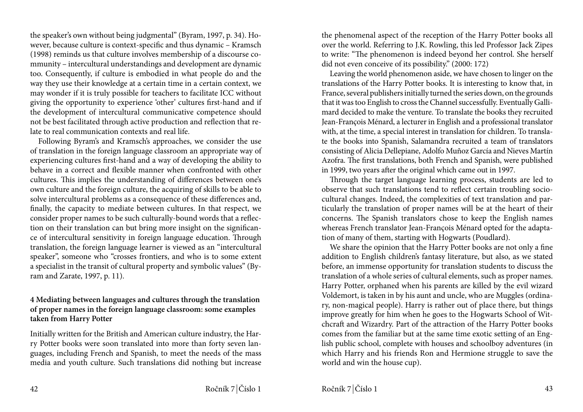the speaker's own without being judgmental" (Byram, 1997, p. 34). However, because culture is context-specific and thus dynamic – Kramsch (1998) reminds us that culture involves membership of a discourse community – intercultural understandings and development are dynamic too. Consequently, if culture is embodied in what people do and the way they use their knowledge at a certain time in a certain context, we may wonder if it is truly possible for teachers to facilitate ICC without giving the opportunity to experience 'other' cultures first-hand and if the development of intercultural communicative competence should not be best facilitated through active production and reflection that relate to real communication contexts and real life.

Following Byram's and Kramsch's approaches, we consider the use of translation in the foreign language classroom an appropriate way of experiencing cultures first-hand and a way of developing the ability to behave in a correct and flexible manner when confronted with other cultures. This implies the understanding of differences between one's own culture and the foreign culture, the acquiring of skills to be able to solve intercultural problems as a consequence of these differences and, finally, the capacity to mediate between cultures. In that respect, we consider proper names to be such culturally-bound words that a reflection on their translation can but bring more insight on the significance of intercultural sensitivity in foreign language education. Through translation, the foreign language learner is viewed as an "intercultural speaker", someone who "crosses frontiers, and who is to some extent a specialist in the transit of cultural property and symbolic values" (Byram and Zarate, 1997, p. 11).

### **4 Mediating between languages and cultures through the translation of proper names in the foreign language classroom: some examples taken from Harry Potter**

Initially written for the British and American culture industry, the Harry Potter books were soon translated into more than forty seven languages, including French and Spanish, to meet the needs of the mass media and youth culture. Such translations did nothing but increase the phenomenal aspect of the reception of the Harry Potter books all over the world. Referring to J.K. Rowling, this led Professor Jack Zipes to write: "The phenomenon is indeed beyond her control. She herself did not even conceive of its possibility." (2000: 172)

Leaving the world phenomenon aside, we have chosen to linger on the translations of the Harry Potter books. It is interesting to know that, in France, several publishers initially turned the series down, on the grounds that it was too English to cross the Channel successfully. Eventually Gallimard decided to make the venture. To translate the books they recruited Jean-François Ménard, a lecturer in English and a professional translator with, at the time, a special interest in translation for children. To translate the books into Spanish, Salamandra recruited a team of translators consisting of Alicia Dellepiane, Adolfo Muñoz García and Nieves Martín Azofra. The first translations, both French and Spanish, were published in 1999, two years after the original which came out in 1997.

Through the target language learning process, students are led to observe that such translations tend to reflect certain troubling sociocultural changes. Indeed, the complexities of text translation and particularly the translation of proper names will be at the heart of their concerns. The Spanish translators chose to keep the English names whereas French translator Jean-François Ménard opted for the adaptation of many of them, starting with Hogwarts (Poudlard).

We share the opinion that the Harry Potter books are not only a fine addition to English children's fantasy literature, but also, as we stated before, an immense opportunity for translation students to discuss the translation of a whole series of cultural elements, such as proper names. Harry Potter, orphaned when his parents are killed by the evil wizard Voldemort, is taken in by his aunt and uncle, who are Muggles (ordinary, non-magical people). Harry is rather out of place there, but things improve greatly for him when he goes to the Hogwarts School of Witchcraft and Wizardry. Part of the attraction of the Harry Potter books comes from the familiar but at the same time exotic setting of an English public school, complete with houses and schoolboy adventures (in which Harry and his friends Ron and Hermione struggle to save the world and win the house cup).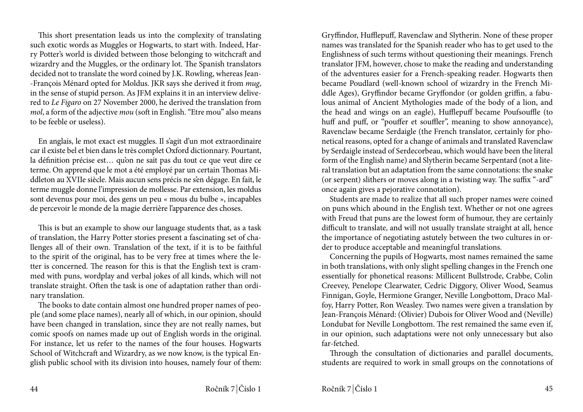This short presentation leads us into the complexity of translating such exotic words as Muggles or Hogwarts, to start with. Indeed, Harry Potter's world is divided between those belonging to witchcraft and wizardry and the Muggles, or the ordinary lot. The Spanish translators decided not to translate the word coined by J.K. Rowling, whereas Jean- -François Ménard opted for Moldus. JKR says she derived it from *mug*, in the sense of stupid person. As JFM explains it in an interview delivered to *Le Figaro* on 27 November 2000, he derived the translation from *mol*, a form of the adjective *mou* (soft in English. "Etre mou" also means to be feeble or useless).

En anglais, le mot exact est muggles. Il s'agit d'un mot extraordinaire car il existe bel et bien dans le très complet Oxford dictionnary. Pourtant, la définition précise est… qu'on ne sait pas du tout ce que veut dire ce terme. On apprend que le mot a été employé par un certain Thomas Middleton au XVIIe siècle. Mais aucun sens précis ne s'en dégage. En fait, le terme muggle donne l'impression de mollesse. Par extension, les moldus sont devenus pour moi, des gens un peu « mous du bulbe », incapables de percevoir le monde de la magie derrière l'apparence des choses.

This is but an example to show our language students that, as a task of translation, the Harry Potter stories present a fascinating set of challenges all of their own. Translation of the text, if it is to be faithful to the spirit of the original, has to be very free at times where the letter is concerned. The reason for this is that the English text is crammed with puns, wordplay and verbal jokes of all kinds, which will not translate straight. Often the task is one of adaptation rather than ordinary translation.

The books to date contain almost one hundred proper names of people (and some place names), nearly all of which, in our opinion, should have been changed in translation, since they are not really names, but comic spoofs on names made up out of English words in the original. For instance, let us refer to the names of the four houses. Hogwarts School of Witchcraft and Wizardry, as we now know, is the typical English public school with its division into houses, namely four of them:

Gryffindor, Hufflepuff, Ravenclaw and Slytherin. None of these proper names was translated for the Spanish reader who has to get used to the Englishness of such terms without questioning their meanings. French translator JFM, however, chose to make the reading and understanding of the adventures easier for a French-speaking reader. Hogwarts then became Poudlard (well-known school of wizardry in the French Middle Ages), Gryffindor became Gryffondor (or golden griffin, a fabulous animal of Ancient Mythologies made of the body of a lion, and the head and wings on an eagle), Hufflepuff became Poufsouffle (to huff and puff, or "pouffer et souffler", meaning to show annoyance), Ravenclaw became Serdaigle (the French translator, certainly for phonetical reasons, opted for a change of animals and translated Ravenclaw by Serdaigle instead of Serdecorbeau, which would have been the literal form of the English name) and Slytherin became Serpentard (not a literal translation but an adaptation from the same connotations: the snake (or serpent) slithers or moves along in a twisting way. The suffix "-ard" once again gives a pejorative connotation).

Students are made to realize that all such proper names were coined on puns which abound in the English text. Whether or not one agrees with Freud that puns are the lowest form of humour, they are certainly difficult to translate, and will not usually translate straight at all, hence the importance of negotiating astutely between the two cultures in order to produce acceptable and meaningful translations.

Concerning the pupils of Hogwarts, most names remained the same in both translations, with only slight spelling changes in the French one essentially for phonetical reasons: Millicent Bullstrode, Crabbe, Colin Creevey, Penelope Clearwater, Cedric Diggory, Oliver Wood, Seamus Finnigan, Goyle, Hermione Granger, Neville Longbottom, Draco Malfoy, Harry Potter, Ron Weasley. Two names were given a translation by Jean-François Ménard: (Olivier) Dubois for Oliver Wood and (Neville) Londubat for Neville Longbottom. The rest remained the same even if, in our opinion, such adaptations were not only unnecessary but also far-fetched.

Through the consultation of dictionaries and parallel documents, students are required to work in small groups on the connotations of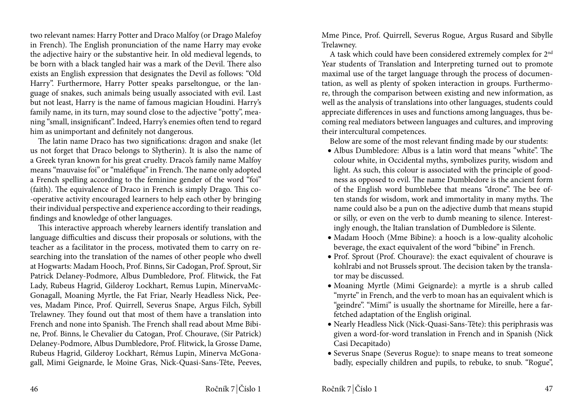two relevant names: Harry Potter and Draco Malfoy (or Drago Malefoy in French). The English pronunciation of the name Harry may evoke the adjective hairy or the substantive heir. In old medieval legends, to be born with a black tangled hair was a mark of the Devil. There also exists an English expression that designates the Devil as follows: "Old Harry". Furthermore, Harry Potter speaks parseltongue, or the language of snakes, such animals being usually associated with evil. Last but not least, Harry is the name of famous magician Houdini. Harry's family name, in its turn, may sound close to the adjective "potty", meaning "small, insignificant". Indeed, Harry's enemies often tend to regard him as unimportant and definitely not dangerous.

The latin name Draco has two significations: dragon and snake (let us not forget that Draco belongs to Slytherin). It is also the name of a Greek tyran known for his great cruelty. Draco's family name Malfoy means "mauvaise foi" or "maléfique" in French. The name only adopted a French spelling according to the feminine gender of the word "foi" (faith). The equivalence of Draco in French is simply Drago. This co- -operative activity encouraged learners to help each other by bringing their individual perspective and experience according to their readings, findings and knowledge of other languages.

This interactive approach whereby learners identify translation and language difficulties and discuss their proposals or solutions, with the teacher as a facilitator in the process, motivated them to carry on researching into the translation of the names of other people who dwell at Hogwarts: Madam Hooch, Prof. Binns, Sir Cadogan, Prof. Sprout, Sir Patrick Delaney-Podmore, Albus Dumbledore, Prof. Flitwick, the Fat Lady, Rubeus Hagrid, Gilderoy Lockhart, Remus Lupin, MinervaMc-Gonagall, Moaning Myrtle, the Fat Friar, Nearly Headless Nick, Peeves, Madam Pince, Prof. Quirrell, Severus Snape, Argus Filch, Sybill Trelawney. They found out that most of them have a translation into French and none into Spanish. The French shall read about Mme Bibine, Prof. Binns, le Chevalier du Catogan, Prof. Chourave, (Sir Patrick) Delaney-Podmore, Albus Dumbledore, Prof. Flitwick, la Grosse Dame, Rubeus Hagrid, Gilderoy Lockhart, Rémus Lupin, Minerva McGonagall, Mimi Geignarde, le Moine Gras, Nick-Quasi-Sans-Tête, Peeves,

Mme Pince, Prof. Quirrell, Severus Rogue, Argus Rusard and Sibylle Trelawney.

A task which could have been considered extremely complex for 2nd Year students of Translation and Interpreting turned out to promote maximal use of the target language through the process of documentation, as well as plenty of spoken interaction in groups. Furthermore, through the comparison between existing and new information, as well as the analysis of translations into other languages, students could appreciate differences in uses and functions among languages, thus becoming real mediators between languages and cultures, and improving their intercultural competences.

Below are some of the most relevant finding made by our students:

- Albus Dumbledore: Albus is a latin word that means "white". The colour white, in Occidental myths, symbolizes purity, wisdom and light. As such, this colour is associated with the principle of goodness as opposed to evil. The name Dumbledore is the ancient form of the English word bumblebee that means "drone". The bee often stands for wisdom, work and immortality in many myths. The name could also be a pun on the adjective dumb that means stupid or silly, or even on the verb to dumb meaning to silence. Interestingly enough, the Italian translation of Dumbledore is Silente.
- Madam Hooch (Mme Bibine): a hooch is a low-quality alcoholic beverage, the exact equivalent of the word "bibine" in French.
- Prof. Sprout (Prof. Chourave): the exact equivalent of chourave is kohlrabi and not Brussels sprout. The decision taken by the translator may be discussed.
- • Moaning Myrtle (Mimi Geignarde): a myrtle is a shrub called "myrte" in French, and the verb to moan has an equivalent which is "geindre". "Mimi" is usually the shortname for Mireille, here a farfetched adaptation of the English original.
- • Nearly Headless Nick (Nick-Quasi-Sans-Tête): this periphrasis was given a word-for-word translation in French and in Spanish (Nick Casi Decapitado)
- Severus Snape (Severus Rogue): to snape means to treat someone badly, especially children and pupils, to rebuke, to snub. "Rogue",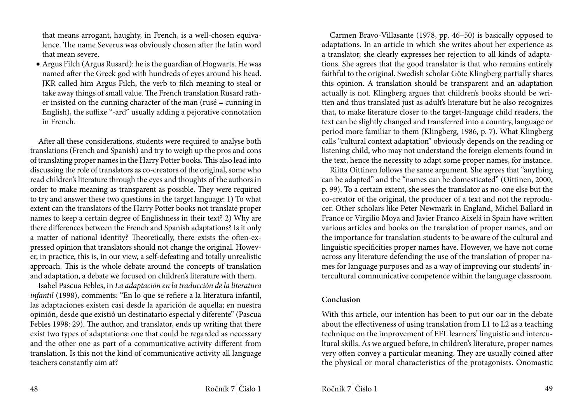that means arrogant, haughty, in French, is a well-chosen equivalence. The name Severus was obviously chosen after the latin word that mean severe.

• Argus Filch (Argus Rusard): he is the guardian of Hogwarts. He was named after the Greek god with hundreds of eyes around his head. JKR called him Argus Filch, the verb to filch meaning to steal or take away things of small value. The French translation Rusard rather insisted on the cunning character of the man (rusé = cunning in English), the suffixe "-ard" usually adding a pejorative connotation in French.

After all these considerations, students were required to analyse both translations (French and Spanish) and try to weigh up the pros and cons of translating proper names in the Harry Potter books. This also lead into discussing the role of translators as co-creators of the original, some who read children's literature through the eyes and thoughts of the authors in order to make meaning as transparent as possible. They were required to try and answer these two questions in the target language: 1) To what extent can the translators of the Harry Potter books not translate proper names to keep a certain degree of Englishness in their text? 2) Why are there differences between the French and Spanish adaptations? Is it only a matter of national identity? Theoretically, there exists the often-expressed opinion that translators should not change the original. However, in practice, this is, in our view, a self-defeating and totally unrealistic approach. This is the whole debate around the concepts of translation and adaptation, a debate we focused on children's literature with them.

Isabel Pascua Febles, in *La adaptación en la traducción de la literatura infantil* (1998), comments: "En lo que se refiere a la literatura infantil, las adaptaciones existen casi desde la aparición de aquella; en nuestra opinión, desde que existió un destinatario especial y diferente" (Pascua Febles 1998: 29). The author, and translator, ends up writing that there exist two types of adaptations: one that could be regarded as necessary and the other one as part of a communicative activity different from translation. Is this not the kind of communicative activity all language teachers constantly aim at?

Carmen Bravo-Villasante (1978, pp. 46–50) is basically opposed to adaptations. In an article in which she writes about her experience as a translator, she clearly expresses her rejection to all kinds of adaptations. She agrees that the good translator is that who remains entirely faithful to the original. Swedish scholar Göte Klingberg partially shares this opinion. A translation should be transparent and an adaptation actually is not. Klingberg argues that children's books should be written and thus translated just as adult's literature but he also recognizes that, to make literature closer to the target-language child readers, the text can be slightly changed and transferred into a country, language or period more familiar to them (Klingberg, 1986, p. 7). What Klingberg calls "cultural context adaptation" obviously depends on the reading or listening child, who may not understand the foreign elements found in the text, hence the necessity to adapt some proper names, for instance.

Riitta Oittinen follows the same argument. She agrees that "anything can be adapted" and the "names can be domesticated" (Oittinen, 2000, p. 99). To a certain extent, she sees the translator as no-one else but the co-creator of the original, the producer of a text and not the reproducer. Other scholars like Peter Newmark in England, Michel Ballard in France or Virgilio Moya and Javier Franco Aixelá in Spain have written various articles and books on the translation of proper names, and on the importance for translation students to be aware of the cultural and linguistic specificities proper names have. However, we have not come across any literature defending the use of the translation of proper names for language purposes and as a way of improving our students' intercultural communicative competence within the language classroom.

### **Conclusion**

With this article, our intention has been to put our oar in the debate about the effectiveness of using translation from L1 to L2 as a teaching technique on the improvement of EFL learners' linguistic and intercultural skills. As we argued before, in children's literature, proper names very often convey a particular meaning. They are usually coined after the physical or moral characteristics of the protagonists. Onomastic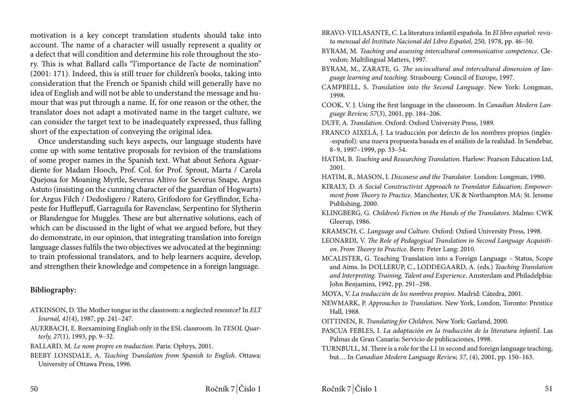motivation is a key concept translation students should take into account. The name of a character will usually represent a quality or a defect that will condition and determine his role throughout the story. This is what Ballard calls "l'importance de l'acte de nomination" (2001: 171). Indeed, this is still truer for children's books, taking into consideration that the French or Spanish child will generally have no idea of English and will not be able to understand the message and humour that was put through a name. If, for one reason or the other, the translator does not adapt a motivated name in the target culture, we can consider the target text to be inadequately expressed, thus falling short of the expectation of conveying the original idea.

Once understanding such keys aspects, our language students have come up with some tentative proposals for revision of the translations of some proper names in the Spanish text. What about Señora Aguardiente for Madam Hooch, Prof. Col. for Prof. Sprout, Marta / Carola Quejosa for Moaning Myrtle, Severus Altivo for Severus Snape, Argus Astuto (insisting on the cunning character of the guardian of Hogwarts) for Argus Filch / Dedosligero / Ratero, Grifodoro for Gryffindor, Echapeste for Hufflepuff, Garraguila for Ravenclaw, Serpentino for Slytherin or Blandengue for Muggles. These are but alternative solutions, each of which can be discussed in the light of what we argued before, but they do demonstrate, in our opinion, that integrating translation into foreign language classes fulfils the two objectives we advocated at the beginning: to train professional translators, and to help learners acquire, develop, and strengthen their knowledge and competence in a foreign language.

#### **Bibliography:**

- ATKINSON, D. The Mother tongue in the classroom: a neglected resource? In *ELT Journal*, *41*(4), 1987, pp. 241–247.
- AUERBACH, E. Reexamining English only in the ESL classroom. In *TESOL Quarterly, 27*(1), 1993, pp. 9–32.
- BALLARD, M. *Le nom propre en traduction*. Paris: Ophrys, 2001.
- BEEBY LONSDALE, A. *Teaching Translation from Spanish to English*. Ottawa: University of Ottawa Press, 1996.
- BRAVO-VILLASANTE, C. La literatura infantil española. In *El libro español: revista mensual del Instituto Nacional del Libro Español,* 250*,* 1978, pp. 46–50.
- BYRAM, M. *Teaching and assessing intercultural communicative competence*. Clevedon: Multilingual Matters, 1997.
- BYRAM, M., ZARATE, G. *The sociocultural and intercultural dimension of language learning and teaching*. Strasbourg: Council of Europe, 1997.
- CAMPBELL, S. *Translation into the Second Language*. New York: Longman, 1998.
- COOK, V. J. Using the first language in the classroom. In *Canadian Modern Language Review, 57*(3), 2001, pp. 184–206.
- DUFF, A. *Translation*. Oxford: Oxford University Press, 1989.
- FRANCO AIXELÁ, J. La traducción por defecto de los nombres propios (inglés- -español): una nueva propuesta basada en el análisis de la realidad. In Sendebar, 8–9, 1997–1999, pp. 33–54.
- HATIM, B. *Teaching and Researching Translation*. Harlow: Pearson Education Ltd, 2001.
- HATIM, B., MASON, I. *Discourse and the Translator*. London: Longman, 1990.
- KIRALY, D. *A Social Constructivist Approach to Translator Education; Empowerment from Theory to Practice*. Manchester, UK & Northampton MA: St. Jerome Publishing, 2000.
- KLINGBERG, G. *Children's Fiction in the Hands of the Translators*. Malmo: CWK Gleerup, 1986.
- KRAMSCH, C. *Language and Culture.* Oxford: Oxford University Press, 1998.
- LEONARDI, V. *The Role of Pedagogical Translation in Second Language Acquisition. From Theory to Practice*. Bern: Peter Lang: 2010.
- MCALISTER, G. Teaching Translation into a Foreign Language Status, Scope and Aims. In DOLLERUP, C., LODDEGAARD, A. (eds.) *Teaching Translation and Interpreting. Training, Talent and Experience*. Amsterdam and Philadelphia: John Benjamins, 1992, pp. 291–298.
- MOYA, V. *La traducción de los nombres propios*. Madrid: Cátedra, 2001.
- NEWMARK, P. *Approaches to Translation*. New York, London, Toronto: Prentice Hall, 1988.
- OITTINEN, R. *Translating for Children*. New York: Garland, 2000.
- PASCUA FEBLES, I. *La adaptación en la traducción de la literatura infantil*. Las Palmas de Gran Canaria: Servicio de publicaciones, 1998.
- TURNBULL, M. There is a role for the L1 in second and foreign language teaching, but… In *Canadian Modern Language Review, 57*, (4), 2001, pp. 150–163.